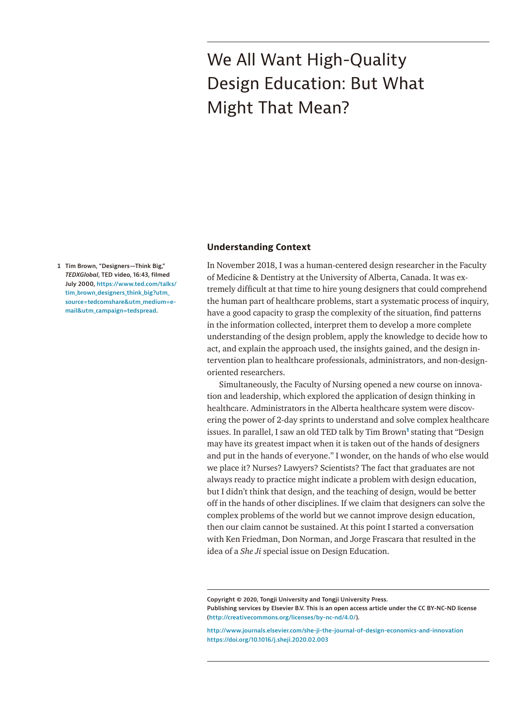# We All Want High-Quality Design Education: But What Might That Mean?

<span id="page-0-0"></span>**1 Tim Brown, "Designers—Think Big,"**  *TEDXGlobal***, TED video, 16:43, filmed July 2000, [https://www.ted.com/talks/](https://www.ted.com/talks/tim_brown_designers_think_big?utm_source=tedcomshare&utm_medium=email&utm_campaign=tedspread) [tim\\_brown\\_designers\\_think\\_big?utm\\_](https://www.ted.com/talks/tim_brown_designers_think_big?utm_source=tedcomshare&utm_medium=email&utm_campaign=tedspread) [source=tedcomshare&utm\\_medium=e-](https://www.ted.com/talks/tim_brown_designers_think_big?utm_source=tedcomshare&utm_medium=email&utm_campaign=tedspread)**

**[mail&utm\\_campaign=tedspread](https://www.ted.com/talks/tim_brown_designers_think_big?utm_source=tedcomshare&utm_medium=email&utm_campaign=tedspread).**

## **Understanding Context**

In November 2018, I was a human-centered design researcher in the Faculty of Medicine & Dentistry at the University of Alberta, Canada. It was extremely difficult at that time to hire young designers that could comprehend the human part of healthcare problems, start a systematic process of inquiry, have a good capacity to grasp the complexity of the situation, find patterns in the information collected, interpret them to develop a more complete understanding of the design problem, apply the knowledge to decide how to act, and explain the approach used, the insights gained, and the design intervention plan to healthcare professionals, administrators, and non-designoriented researchers.

Simultaneously, the Faculty of Nursing opened a new course on innovation and leadership, which explored the application of design thinking in healthcare. Administrators in the Alberta healthcare system were discovering the power of 2-day sprints to understand and solve complex healthcare issues. In parallel, I saw an old TED talk by Tim Brown**[1](#page-0-0)** stating that "Design may have its greatest impact when it is taken out of the hands of designers and put in the hands of everyone." I wonder, on the hands of who else would we place it? Nurses? Lawyers? Scientists? The fact that graduates are not always ready to practice might indicate a problem with design education, but I didn't think that design, and the teaching of design, would be better off in the hands of other disciplines. If we claim that designers can solve the complex problems of the world but we cannot improve design education, then our claim cannot be sustained. At this point I started a conversation with Ken Friedman, Don Norman, and Jorge Frascara that resulted in the idea of a *She Ji* special issue on Design Education.

**Copyright © 2020, Tongji University and Tongji University Press. Publishing services by Elsevier B.V. This is an open access article under the CC BY-NC-ND license [\(http://creativecommons.org/licenses/by-nc-nd/4.0/](http://creativecommons.org/licenses/by-nc-nd/4.0/)).**

**<http://www.journals.elsevier.com/she-ji-the-journal-of-design-economics-and-innovation> <https://doi.org/10.1016/j.sheji.2020.02.003>**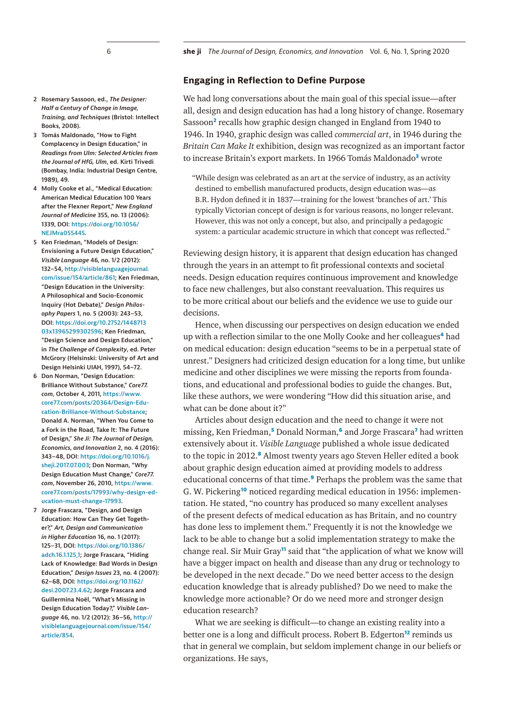#### **Engaging in Reflection to Define Purpose**

We had long conversations about the main goal of this special issue—after all, design and design education has had a long history of change. Rosemary Sassoon**[2](#page-1-0)** recalls how graphic design changed in England from 1940 to 1946. In 1940, graphic design was called *commercial art*, in 1946 during the *Britain Can Make It* exhibition, design was recognized as an important factor to increase Britain's export markets. In 1966 Tomás Maldonado**[3](#page-1-1)** wrote

"While design was celebrated as an art at the service of industry, as an activity destined to embellish manufactured products, design education was—as B.R. Hydon defined it in 1837—training for the lowest 'branches of art.' This typically Victorian concept of design is for various reasons, no longer relevant. However, this was not only a concept, but also, and principally a pedagogic system: a particular academic structure in which that concept was reflected."

Reviewing design history, it is apparent that design education has changed through the years in an attempt to fit professional contexts and societal needs. Design education requires continuous improvement and knowledge to face new challenges, but also constant reevaluation. This requires us to be more critical about our beliefs and the evidence we use to guide our decisions.

Hence, when discussing our perspectives on design education we ended up with a reflection similar to the one Molly Cooke and her colleagues**[4](#page-1-2)** had on medical education: design education "seems to be in a perpetual state of unrest." Designers had criticized design education for a long time, but unlike medicine and other disciplines we were missing the reports from foundations, and educational and professional bodies to guide the changes. But, like these authors, we were wondering "How did this situation arise, and what can be done about it?"

Articles about design education and the need to change it were not missing, Ken Friedman,**[5](#page-1-3)** Donald Norman,**[6](#page-1-4)** and Jorge Frascara**[7](#page-1-5)** had written extensively about it. *Visible Language* published a whole issue dedicated to the topic in 2012.**[8](#page-2-0)** Almost twenty years ago Steven Heller edited a book about graphic design education aimed at providing models to address educational concerns of that time.**[9](#page-2-1)** Perhaps the problem was the same that G. W. Pickering**[10](#page-2-2)** noticed regarding medical education in 1956: implementation. He stated, "no country has produced so many excellent analyses of the present defects of medical education as has Britain, and no country has done less to implement them." Frequently it is not the knowledge we lack to be able to change but a solid implementation strategy to make the change real. Sir Muir Gray**[11](#page-2-3)** said that "the application of what we know will have a bigger impact on health and disease than any drug or technology to be developed in the next decade." Do we need better access to the design education knowledge that is already published? Do we need to make the knowledge more actionable? Or do we need more and stronger design education research?

What we are seeking is difficult—to change an existing reality into a better one is a long and difficult process. Robert B. Edgerton**[12](#page-2-4)** reminds us that in general we complain, but seldom implement change in our beliefs or organizations. He says,

- <span id="page-1-0"></span>**2 Rosemary Sassoon, ed.,** *The Designer: Half a Century of Change in Image, Training, and Techniques* **(Bristol: Intellect Books, 2008).**
- <span id="page-1-1"></span>**3 Tomás Maldonado, "How to Fight Complacency in Design Education," in**  *Readings from Ulm: Selected Articles from the Journal of HfG, Ulm***, ed. Kirti Trivedi (Bombay, India: Industrial Design Centre, 1989), 49.**
- <span id="page-1-2"></span>**4 Molly Cooke et al., "Medical Education: American Medical Education 100 Years after the Flexner Report,"** *New England Journal of Medicine* **355, no. 13 (2006): 1339, DOI: [https://doi.org/10.1056/](https://doi.org/10.1056/NEJMra055445) [NEJMra055445.](https://doi.org/10.1056/NEJMra055445)**
- <span id="page-1-3"></span>**5 Ken Friedman, "Models of Design: Envisioning a Future Design Education,"**  *Visible Language* **46, no. 1/2 (2012): 132–54, [http://visiblelanguagejournal.](http://visiblelanguagejournal.com/issue/154/article/861) [com/issue/154/article/861;](http://visiblelanguagejournal.com/issue/154/article/861) Ken Friedman, "Design Education in the University: A Philosophical and Socio-Economic Inquiry (Hot Debate),"** *Design Philosophy Papers* **1, no. 5 (2003): 243–53, DOI: [https://doi.org/10.2752/1448713](https://doi.org/10.2752/144871303x13965299302596) [03x13965299302596;](https://doi.org/10.2752/144871303x13965299302596) Ken Friedman, "Design Science and Design Education," in** *The Challenge of Complexity***, ed. Peter McGrory (Helsinski: University of Art and Design Helsinki UIAH, 1997), 54–72.**
- <span id="page-1-4"></span>**6 Don Norman, "Design Education: Brilliance Without Substance,"** *Core77. com***, October 4, 2011, [https://www.](https://www.core77.com/posts/20364/Design-Education-Brilliance-Without-Substance) [core77.com/posts/20364/Design-Edu](https://www.core77.com/posts/20364/Design-Education-Brilliance-Without-Substance)[cation-Brilliance-Without-Substance;](https://www.core77.com/posts/20364/Design-Education-Brilliance-Without-Substance) Donald A. Norman, "When You Come to a Fork in the Road, Take It: The Future of Design,"** *She Ji: The Journal of Design, Economics, and Innovation* **2, no. 4 (2016): 343–48, DOI: [https://doi.org/10.1016/j.](https://doi.org/10.1016/j.sheji.2017.07.003) [sheji.2017.07.003](https://doi.org/10.1016/j.sheji.2017.07.003); Don Norman, "Why Design Education Must Change,"** *Core77. com***, November 26, 2010, [https://www.](https://www.core77.com/posts/17993/why-design-education-must-change-17993) [core77.com/posts/17993/why-design-ed](https://www.core77.com/posts/17993/why-design-education-must-change-17993)[ucation-must-change-17993](https://www.core77.com/posts/17993/why-design-education-must-change-17993).**
- <span id="page-1-5"></span>**7 Jorge Frascara, "Design, and Design Education: How Can They Get Together?,"** *Art, Design and Communication in Higher Education* **16, no. 1 (2017): 125–31, DOI: [https://doi.org/10.1386/](https://doi.org/10.1386/adch.16.1.125_1) [adch.16.1.125\\_1;](https://doi.org/10.1386/adch.16.1.125_1) Jorge Frascara, "Hiding Lack of Knowledge: Bad Words in Design Education,"** *Design Issues* **23, no. 4 (2007): 62–68, DOI: [https://doi.org/10.1162/](https://doi.org/10.1162/desi.2007.23.4.62) [desi.2007.23.4.62;](https://doi.org/10.1162/desi.2007.23.4.62) Jorge Frascara and Guillermina Noël, "What's Missing in Design Education Today?,"** *Visible Language* **46, no. 1/2 (2012): 36–56, [http://](http://visiblelanguagejournal.com/issue/154/article/854) [visiblelanguagejournal.com/issue/154/](http://visiblelanguagejournal.com/issue/154/article/854) [article/854](http://visiblelanguagejournal.com/issue/154/article/854).**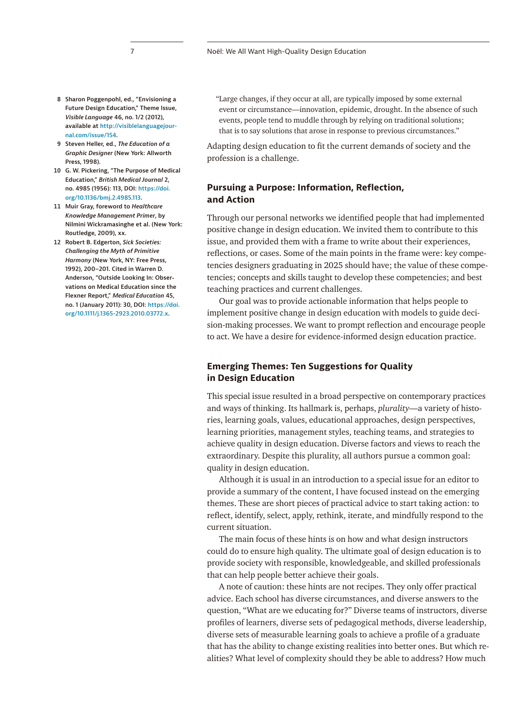- <span id="page-2-0"></span>**8 Sharon Poggenpohl, ed., "Envisioning a Future Design Education," Theme Issue,**  *Visible Language* **46, no. 1/2 (2012), available at [http://visiblelanguagejour](http://visiblelanguagejournal.com/issue/154)[nal.com/issue/154.](http://visiblelanguagejournal.com/issue/154)**
- <span id="page-2-1"></span>**9 Steven Heller, ed.,** *The Education of a Graphic Designer* **(New York: Allworth Press, 1998).**
- <span id="page-2-2"></span>**10 G. W. Pickering, "The Purpose of Medical Education,"** *British Medical Journal* **2, no. 4985 (1956): 113, DOI: [https://doi.](https://doi.org/10.1136/bmj.2.4985.113) [org/10.1136/bmj.2.4985.113](https://doi.org/10.1136/bmj.2.4985.113).**
- <span id="page-2-3"></span>**11 Muir Gray, foreword to** *Healthcare Knowledge Management Primer***, by Nilmini Wickramasinghe et al. (New York: Routledge, 2009), xx.**
- <span id="page-2-4"></span>**12 Robert B. Edgerton,** *Sick Societies: Challenging the Myth of Primitive Harmony* **(New York, NY: Free Press, 1992), 200–201. Cited in Warren D. Anderson, "Outside Looking In: Observations on Medical Education since the Flexner Report,"** *Medical Education* **45, no. 1 (January 2011): 30, DOI: [https://doi.](https://doi.org/10.1111/j.1365-2923.2010.03772.x) [org/10.1111/j.1365-2923.2010.03772.x](https://doi.org/10.1111/j.1365-2923.2010.03772.x).**

"Large changes, if they occur at all, are typically imposed by some external event or circumstance—innovation, epidemic, drought. In the absence of such events, people tend to muddle through by relying on traditional solutions; that is to say solutions that arose in response to previous circumstances."

Adapting design education to fit the current demands of society and the profession is a challenge.

## **Pursuing a Purpose: Information, Reflection, and Action**

Through our personal networks we identified people that had implemented positive change in design education. We invited them to contribute to this issue, and provided them with a frame to write about their experiences, reflections, or cases. Some of the main points in the frame were: key competencies designers graduating in 2025 should have; the value of these competencies; concepts and skills taught to develop these competencies; and best teaching practices and current challenges.

Our goal was to provide actionable information that helps people to implement positive change in design education with models to guide decision-making processes. We want to prompt reflection and encourage people to act. We have a desire for evidence-informed design education practice.

## **Emerging Themes: Ten Suggestions for Quality in Design Education**

This special issue resulted in a broad perspective on contemporary practices and ways of thinking. Its hallmark is, perhaps, *plurality*—a variety of histories, learning goals, values, educational approaches, design perspectives, learning priorities, management styles, teaching teams, and strategies to achieve quality in design education. Diverse factors and views to reach the extraordinary. Despite this plurality, all authors pursue a common goal: quality in design education.

Although it is usual in an introduction to a special issue for an editor to provide a summary of the content, I have focused instead on the emerging themes. These are short pieces of practical advice to start taking action: to reflect, identify, select, apply, rethink, iterate, and mindfully respond to the current situation.

The main focus of these hints is on how and what design instructors could do to ensure high quality. The ultimate goal of design education is to provide society with responsible, knowledgeable, and skilled professionals that can help people better achieve their goals.

A note of caution: these hints are not recipes. They only offer practical advice. Each school has diverse circumstances, and diverse answers to the question, "What are we educating for?" Diverse teams of instructors, diverse profiles of learners, diverse sets of pedagogical methods, diverse leadership, diverse sets of measurable learning goals to achieve a profile of a graduate that has the ability to change existing realities into better ones. But which realities? What level of complexity should they be able to address? How much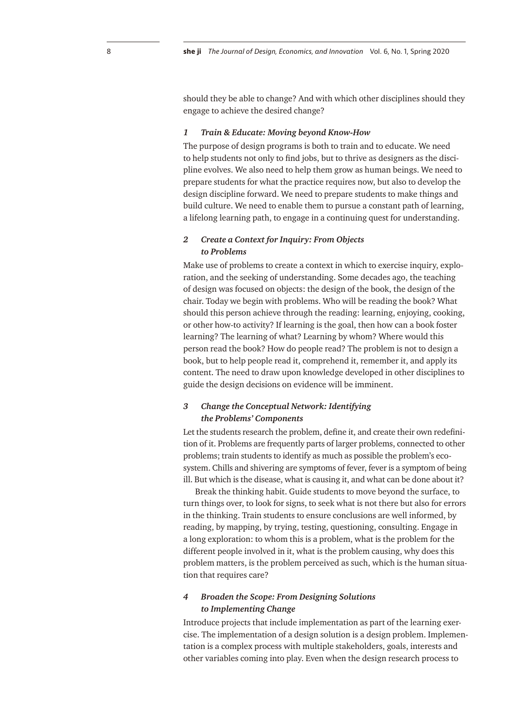should they be able to change? And with which other disciplines should they engage to achieve the desired change?

#### *1 Train & Educate: Moving beyond Know-How*

The purpose of design programs is both to train and to educate. We need to help students not only to find jobs, but to thrive as designers as the discipline evolves. We also need to help them grow as human beings. We need to prepare students for what the practice requires now, but also to develop the design discipline forward. We need to prepare students to make things and build culture. We need to enable them to pursue a constant path of learning, a lifelong learning path, to engage in a continuing quest for understanding.

### *2 Create a Context for Inquiry: From Objects to Problems*

Make use of problems to create a context in which to exercise inquiry, exploration, and the seeking of understanding. Some decades ago, the teaching of design was focused on objects: the design of the book, the design of the chair. Today we begin with problems. Who will be reading the book? What should this person achieve through the reading: learning, enjoying, cooking, or other how-to activity? If learning is the goal, then how can a book foster learning? The learning of what? Learning by whom? Where would this person read the book? How do people read? The problem is not to design a book, but to help people read it, comprehend it, remember it, and apply its content. The need to draw upon knowledge developed in other disciplines to guide the design decisions on evidence will be imminent.

## *3 Change the Conceptual Network: Identifying the Problems' Components*

Let the students research the problem, define it, and create their own redefinition of it. Problems are frequently parts of larger problems, connected to other problems; train students to identify as much as possible the problem's ecosystem. Chills and shivering are symptoms of fever, fever is a symptom of being ill. But which is the disease, what is causing it, and what can be done about it?

Break the thinking habit. Guide students to move beyond the surface, to turn things over, to look for signs, to seek what is not there but also for errors in the thinking. Train students to ensure conclusions are well informed, by reading, by mapping, by trying, testing, questioning, consulting. Engage in a long exploration: to whom this is a problem, what is the problem for the different people involved in it, what is the problem causing, why does this problem matters, is the problem perceived as such, which is the human situation that requires care?

## *4 Broaden the Scope: From Designing Solutions to Implementing Change*

Introduce projects that include implementation as part of the learning exercise. The implementation of a design solution is a design problem. Implementation is a complex process with multiple stakeholders, goals, interests and other variables coming into play. Even when the design research process to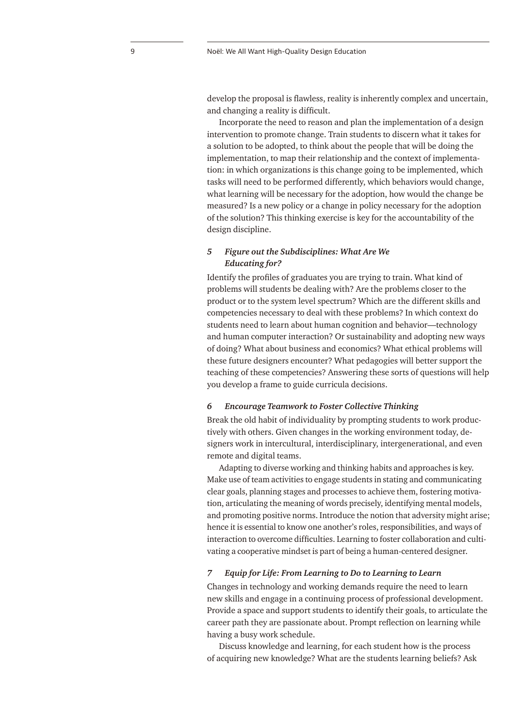develop the proposal is flawless, reality is inherently complex and uncertain, and changing a reality is difficult.

Incorporate the need to reason and plan the implementation of a design intervention to promote change. Train students to discern what it takes for a solution to be adopted, to think about the people that will be doing the implementation, to map their relationship and the context of implementation: in which organizations is this change going to be implemented, which tasks will need to be performed differently, which behaviors would change, what learning will be necessary for the adoption, how would the change be measured? Is a new policy or a change in policy necessary for the adoption of the solution? This thinking exercise is key for the accountability of the design discipline.

### *5 Figure out the Subdisciplines: What Are We Educating for?*

Identify the profiles of graduates you are trying to train. What kind of problems will students be dealing with? Are the problems closer to the product or to the system level spectrum? Which are the different skills and competencies necessary to deal with these problems? In which context do students need to learn about human cognition and behavior—technology and human computer interaction? Or sustainability and adopting new ways of doing? What about business and economics? What ethical problems will these future designers encounter? What pedagogies will better support the teaching of these competencies? Answering these sorts of questions will help you develop a frame to guide curricula decisions.

#### *6 Encourage Teamwork to Foster Collective Thinking*

Break the old habit of individuality by prompting students to work productively with others. Given changes in the working environment today, designers work in intercultural, interdisciplinary, intergenerational, and even remote and digital teams.

Adapting to diverse working and thinking habits and approaches is key. Make use of team activities to engage students in stating and communicating clear goals, planning stages and processes to achieve them, fostering motivation, articulating the meaning of words precisely, identifying mental models, and promoting positive norms. Introduce the notion that adversity might arise; hence it is essential to know one another's roles, responsibilities, and ways of interaction to overcome difficulties. Learning to foster collaboration and cultivating a cooperative mindset is part of being a human-centered designer.

#### *7 Equip for Life: From Learning to Do to Learning to Learn*

Changes in technology and working demands require the need to learn new skills and engage in a continuing process of professional development. Provide a space and support students to identify their goals, to articulate the career path they are passionate about. Prompt reflection on learning while having a busy work schedule.

Discuss knowledge and learning, for each student how is the process of acquiring new knowledge? What are the students learning beliefs? Ask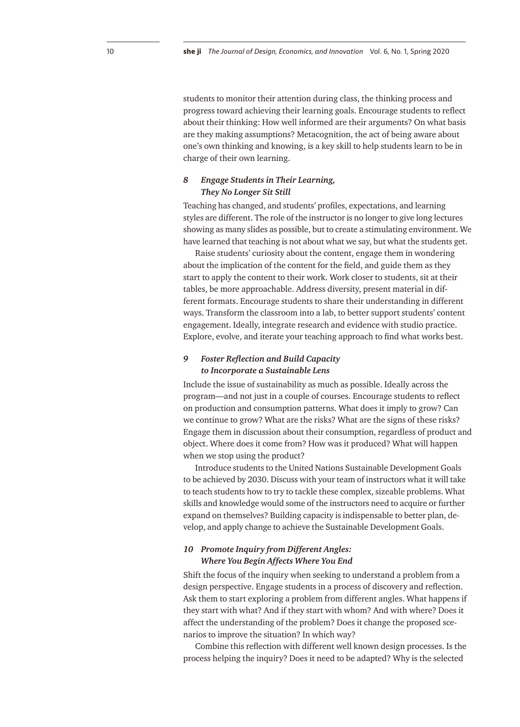students to monitor their attention during class, the thinking process and progress toward achieving their learning goals. Encourage students to reflect about their thinking: How well informed are their arguments? On what basis are they making assumptions? Metacognition, the act of being aware about one's own thinking and knowing, is a key skill to help students learn to be in charge of their own learning.

#### *8 Engage Students in Their Learning, They No Longer Sit Still*

Teaching has changed, and students' profiles, expectations, and learning styles are different. The role of the instructor is no longer to give long lectures showing as many slides as possible, but to create a stimulating environment. We have learned that teaching is not about what we say, but what the students get.

Raise students' curiosity about the content, engage them in wondering about the implication of the content for the field, and guide them as they start to apply the content to their work. Work closer to students, sit at their tables, be more approachable. Address diversity, present material in different formats. Encourage students to share their understanding in different ways. Transform the classroom into a lab, to better support students' content engagement. Ideally, integrate research and evidence with studio practice. Explore, evolve, and iterate your teaching approach to find what works best.

## *9 Foster Reflection and Build Capacity to Incorporate a Sustainable Lens*

Include the issue of sustainability as much as possible. Ideally across the program—and not just in a couple of courses. Encourage students to reflect on production and consumption patterns. What does it imply to grow? Can we continue to grow? What are the risks? What are the signs of these risks? Engage them in discussion about their consumption, regardless of product and object. Where does it come from? How was it produced? What will happen when we stop using the product?

Introduce students to the United Nations Sustainable Development Goals to be achieved by 2030. Discuss with your team of instructors what it will take to teach students how to try to tackle these complex, sizeable problems. What skills and knowledge would some of the instructors need to acquire or further expand on themselves? Building capacity is indispensable to better plan, develop, and apply change to achieve the Sustainable Development Goals.

## *10 Promote Inquiry from Different Angles: Where You Begin Affects Where You End*

Shift the focus of the inquiry when seeking to understand a problem from a design perspective. Engage students in a process of discovery and reflection. Ask them to start exploring a problem from different angles. What happens if they start with what? And if they start with whom? And with where? Does it affect the understanding of the problem? Does it change the proposed scenarios to improve the situation? In which way?

Combine this reflection with different well known design processes. Is the process helping the inquiry? Does it need to be adapted? Why is the selected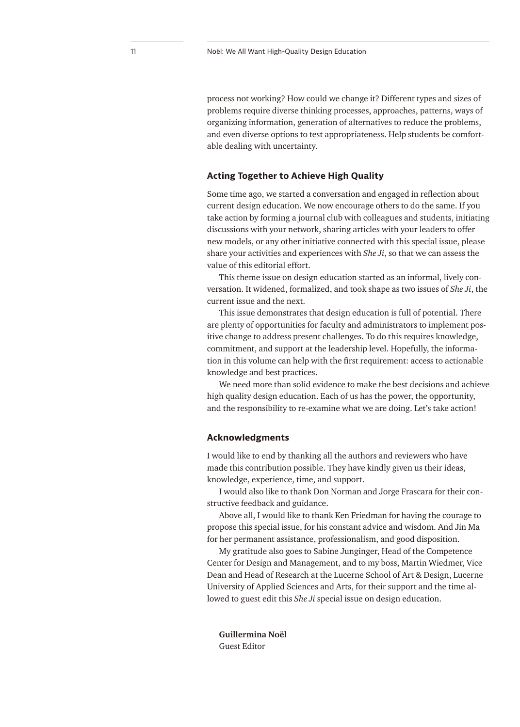process not working? How could we change it? Different types and sizes of problems require diverse thinking processes, approaches, patterns, ways of organizing information, generation of alternatives to reduce the problems, and even diverse options to test appropriateness. Help students be comfortable dealing with uncertainty.

#### **Acting Together to Achieve High Quality**

Some time ago, we started a conversation and engaged in reflection about current design education. We now encourage others to do the same. If you take action by forming a journal club with colleagues and students, initiating discussions with your network, sharing articles with your leaders to offer new models, or any other initiative connected with this special issue, please share your activities and experiences with *She Ji*, so that we can assess the value of this editorial effort.

This theme issue on design education started as an informal, lively conversation. It widened, formalized, and took shape as two issues of *She Ji*, the current issue and the next.

This issue demonstrates that design education is full of potential. There are plenty of opportunities for faculty and administrators to implement positive change to address present challenges. To do this requires knowledge, commitment, and support at the leadership level. Hopefully, the information in this volume can help with the first requirement: access to actionable knowledge and best practices.

We need more than solid evidence to make the best decisions and achieve high quality design education. Each of us has the power, the opportunity, and the responsibility to re-examine what we are doing. Let's take action!

#### **Acknowledgments**

I would like to end by thanking all the authors and reviewers who have made this contribution possible. They have kindly given us their ideas, knowledge, experience, time, and support.

I would also like to thank Don Norman and Jorge Frascara for their constructive feedback and guidance.

Above all, I would like to thank Ken Friedman for having the courage to propose this special issue, for his constant advice and wisdom. And Jin Ma for her permanent assistance, professionalism, and good disposition.

My gratitude also goes to Sabine Junginger, Head of the Competence Center for Design and Management, and to my boss, Martin Wiedmer, Vice Dean and Head of Research at the Lucerne School of Art & Design, Lucerne University of Applied Sciences and Arts, for their support and the time allowed to guest edit this *She Ji* special issue on design education.

**Guillermina Noël** Guest Editor